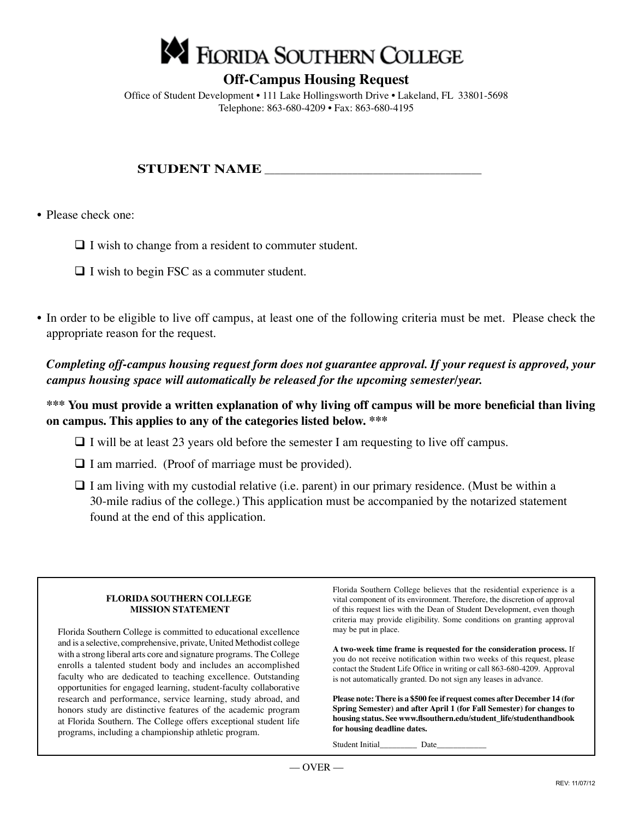

## **Off-Campus Housing Request**

Office of Student Development • 111 Lake Hollingsworth Drive • Lakeland, FL 33801-5698 Telephone: 863-680-4209 • Fax: 863-680-4195

# **STUDENT NAME** \_\_\_\_\_\_\_\_\_\_\_\_\_\_\_\_\_\_\_\_\_\_\_\_\_\_\_\_\_\_\_\_\_\_\_\_\_\_\_\_\_\_

• Please check one:

- $\Box$  I wish to change from a resident to commuter student.
- $\Box$  I wish to begin FSC as a commuter student.
- In order to be eligible to live off campus, at least one of the following criteria must be met. Please check the appropriate reason for the request.

### *Completing off-campus housing request form does not guarantee approval. If your request is approved, your campus housing space will automatically be released for the upcoming semester/year.*

\*\*\* You must provide a written explanation of why living off campus will be more beneficial than living **on campus. This applies to any of the categories listed below. \*\*\***

- $\Box$  I will be at least 23 years old before the semester I am requesting to live off campus.
- $\Box$  I am married. (Proof of marriage must be provided).
- $\Box$  I am living with my custodial relative (i.e. parent) in our primary residence. (Must be within a 30-mile radius of the college.) This application must be accompanied by the notarized statement found at the end of this application.

#### **FLORIDA SOUTHERN COLLEGE MISSION STATEMENT**

Florida Southern College is committed to educational excellence and is a selective, comprehensive, private, United Methodist college with a strong liberal arts core and signature programs. The College enrolls a talented student body and includes an accomplished faculty who are dedicated to teaching excellence. Outstanding opportunities for engaged learning, student-faculty collaborative research and performance, service learning, study abroad, and honors study are distinctive features of the academic program at Florida Southern. The College offers exceptional student life programs, including a championship athletic program.

Florida Southern College believes that the residential experience is a vital component of its environment. Therefore, the discretion of approval of this request lies with the Dean of Student Development, even though criteria may provide eligibility. Some conditions on granting approval may be put in place.

**A two-week time frame is requested for the consideration process.** If you do not receive notification within two weeks of this request, please contact the Student Life Office in writing or call 863-680-4209. Approval is not automatically granted. Do not sign any leases in advance.

**Please note: There is a \$500 fee if request comes after December 14 (for Spring Semester) and after April 1 (for Fall Semester) for changes to housing status. See www.flsouthern.edu/student\_life/studenthandbook for housing deadline dates.**

Student Initial\_\_\_\_\_\_\_\_\_\_\_\_ Date\_